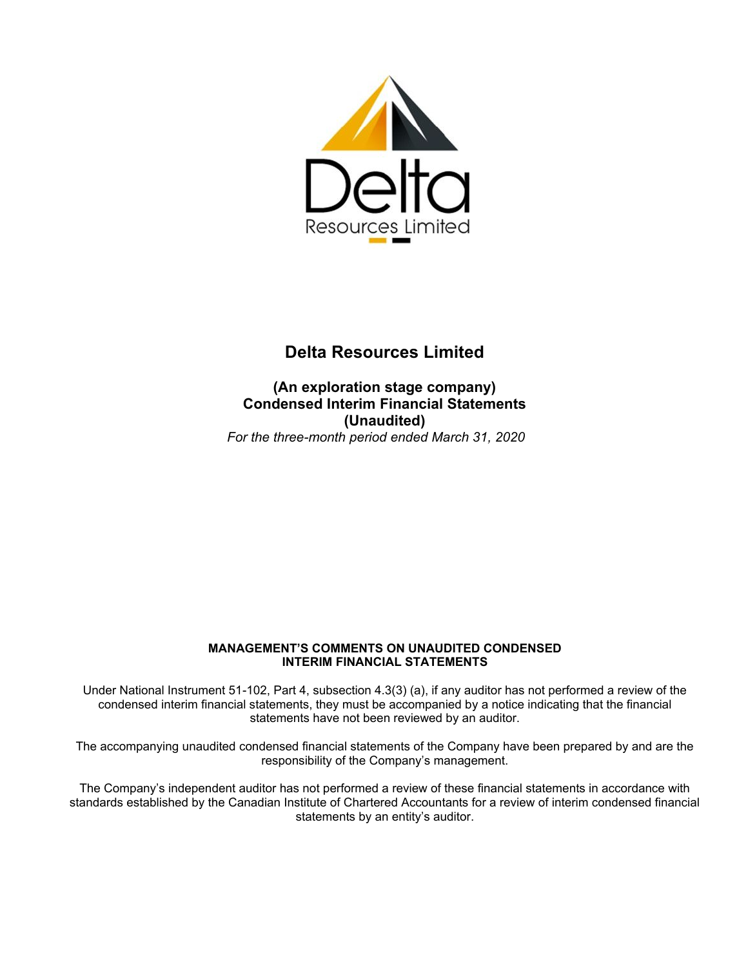

# **Delta Resources Limited**

**(An exploration stage company) Condensed Interim Financial Statements (Unaudited)** *For the three-month period ended March 31, 2020*

#### **MANAGEMENT'S COMMENTS ON UNAUDITED CONDENSED INTERIM FINANCIAL STATEMENTS**

Under National Instrument 51-102, Part 4, subsection 4.3(3) (a), if any auditor has not performed a review of the condensed interim financial statements, they must be accompanied by a notice indicating that the financial statements have not been reviewed by an auditor.

The accompanying unaudited condensed financial statements of the Company have been prepared by and are the responsibility of the Company's management.

The Company's independent auditor has not performed a review of these financial statements in accordance with standards established by the Canadian Institute of Chartered Accountants for a review of interim condensed financial statements by an entity's auditor.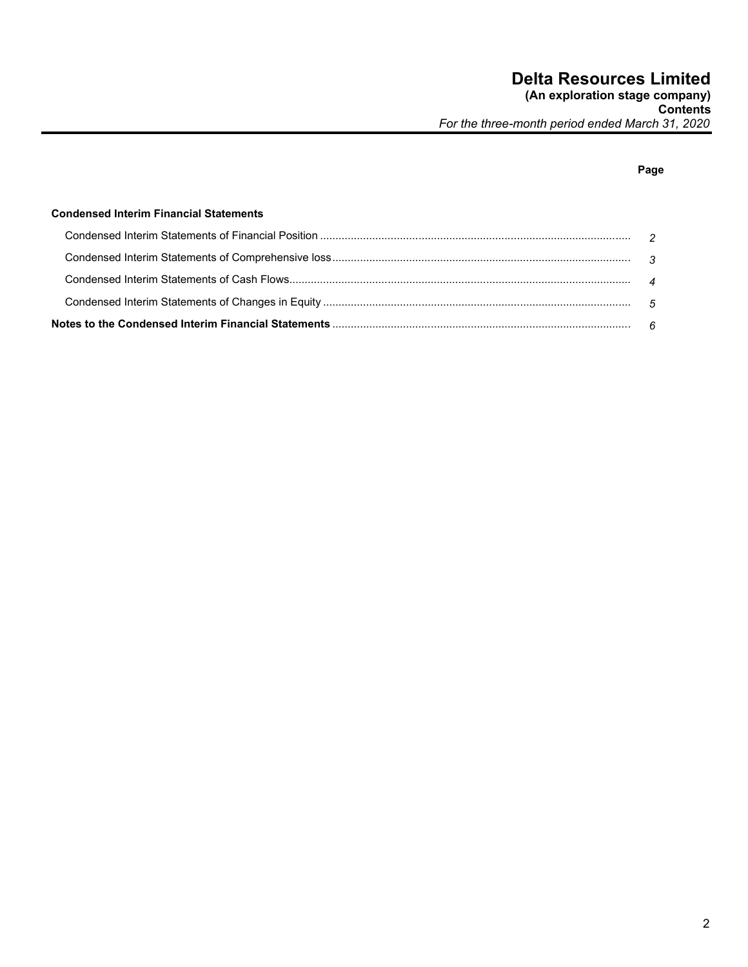**Contents** *For the three-month period ended March 31, 2020*

## **Page**

#### **Condensed Interim Financial Statements**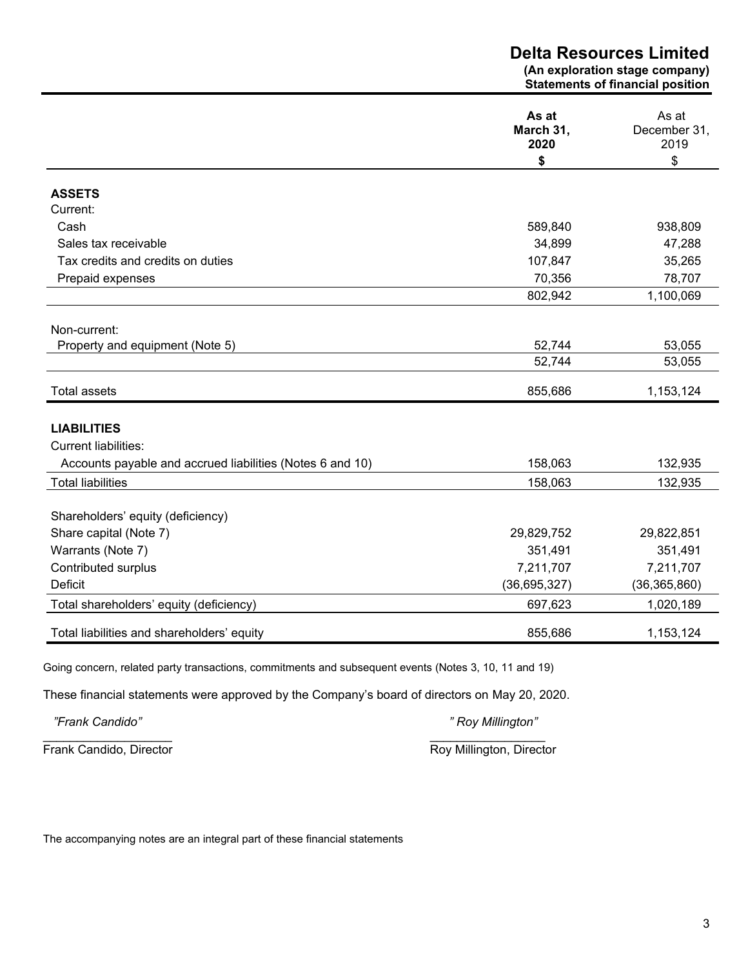|                                                           | <b>Delta Resources Limited</b><br>(An exploration stage company)<br><b>Statements of financial position</b> |                               |  |
|-----------------------------------------------------------|-------------------------------------------------------------------------------------------------------------|-------------------------------|--|
|                                                           | As at<br>March 31,<br>2020                                                                                  | As at<br>December 31,<br>2019 |  |
|                                                           | \$                                                                                                          | \$                            |  |
| <b>ASSETS</b>                                             |                                                                                                             |                               |  |
| Current:                                                  |                                                                                                             |                               |  |
| Cash                                                      | 589,840                                                                                                     | 938,809                       |  |
| Sales tax receivable                                      | 34,899                                                                                                      | 47,288                        |  |
| Tax credits and credits on duties                         | 107,847                                                                                                     | 35,265                        |  |
| Prepaid expenses                                          | 70,356                                                                                                      | 78,707                        |  |
|                                                           | 802,942                                                                                                     | 1,100,069                     |  |
| Non-current:                                              |                                                                                                             |                               |  |
| Property and equipment (Note 5)                           | 52,744                                                                                                      | 53,055                        |  |
|                                                           | 52,744                                                                                                      | 53,055                        |  |
| <b>Total assets</b>                                       | 855,686                                                                                                     | 1,153,124                     |  |
| <b>LIABILITIES</b>                                        |                                                                                                             |                               |  |
| <b>Current liabilities:</b>                               |                                                                                                             |                               |  |
| Accounts payable and accrued liabilities (Notes 6 and 10) | 158,063                                                                                                     | 132,935                       |  |
| <b>Total liabilities</b>                                  | 158,063                                                                                                     | 132,935                       |  |
| Shareholders' equity (deficiency)                         |                                                                                                             |                               |  |
| Share capital (Note 7)                                    | 29,829,752                                                                                                  | 29,822,851                    |  |
| Warrants (Note 7)                                         | 351,491                                                                                                     | 351,491                       |  |
| Contributed surplus                                       | 7,211,707                                                                                                   | 7,211,707                     |  |
| <b>Deficit</b>                                            | (36,695,327)                                                                                                | (36, 365, 860)                |  |
| Total shareholders' equity (deficiency)                   | 697,623                                                                                                     | 1,020,189                     |  |
| Total liabilities and shareholders' equity                | 855,686                                                                                                     | 1,153,124                     |  |

Going concern, related party transactions, commitments and subsequent events (Notes 3, 10, 11 and 19)

These financial statements were approved by the Company's board of directors on May 20, 2020.

*"Frank Candido" " Roy Millington"*

Frank Candido, Director **Roy Millington, Director** Roy Millington, Director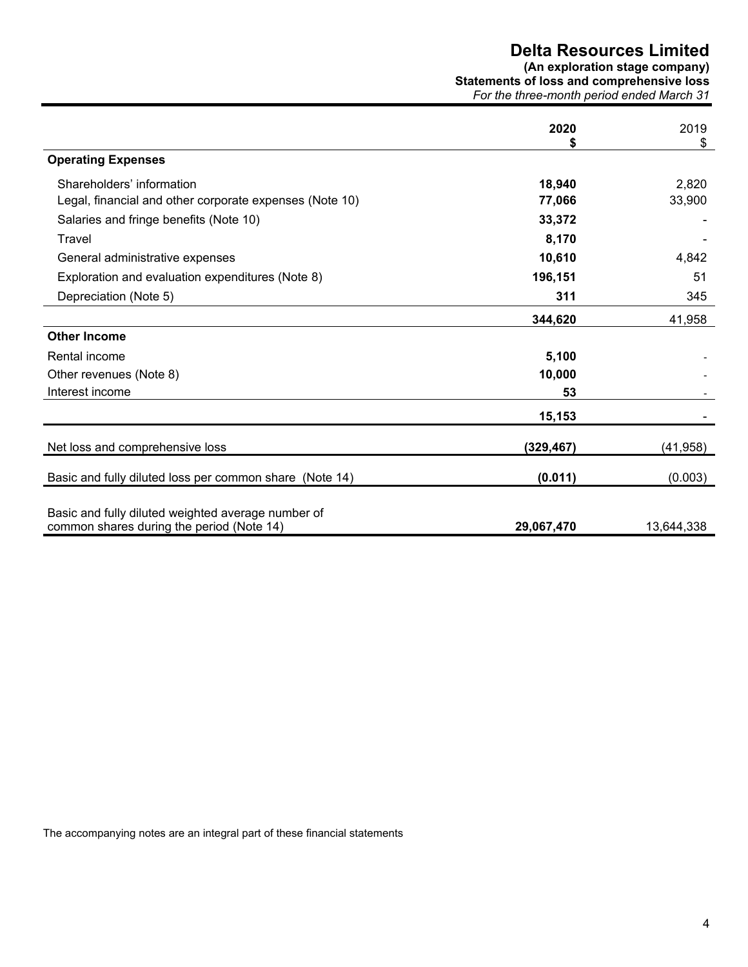# **Delta Resources Limited**

**(An exploration stage company) Statements of loss and comprehensive loss**

|  |  |  | For the three-month period ended March 31 |  |  |  |  |  |  |  |
|--|--|--|-------------------------------------------|--|--|--|--|--|--|--|
|  |  |  |                                           |  |  |  |  |  |  |  |

|                                                                                                 | 2020       | 2019<br>\$ |
|-------------------------------------------------------------------------------------------------|------------|------------|
| <b>Operating Expenses</b>                                                                       |            |            |
| Shareholders' information                                                                       | 18,940     | 2,820      |
| Legal, financial and other corporate expenses (Note 10)                                         | 77,066     | 33,900     |
| Salaries and fringe benefits (Note 10)                                                          | 33,372     |            |
| Travel                                                                                          | 8,170      |            |
| General administrative expenses                                                                 | 10,610     | 4,842      |
| Exploration and evaluation expenditures (Note 8)                                                | 196,151    | 51         |
| Depreciation (Note 5)                                                                           | 311        | 345        |
|                                                                                                 | 344,620    | 41,958     |
| <b>Other Income</b>                                                                             |            |            |
| Rental income                                                                                   | 5,100      |            |
| Other revenues (Note 8)                                                                         | 10,000     |            |
| Interest income                                                                                 | 53         |            |
|                                                                                                 | 15,153     |            |
| Net loss and comprehensive loss                                                                 | (329, 467) | (41, 958)  |
| Basic and fully diluted loss per common share (Note 14)                                         | (0.011)    | (0.003)    |
| Basic and fully diluted weighted average number of<br>common shares during the period (Note 14) | 29,067,470 | 13,644,338 |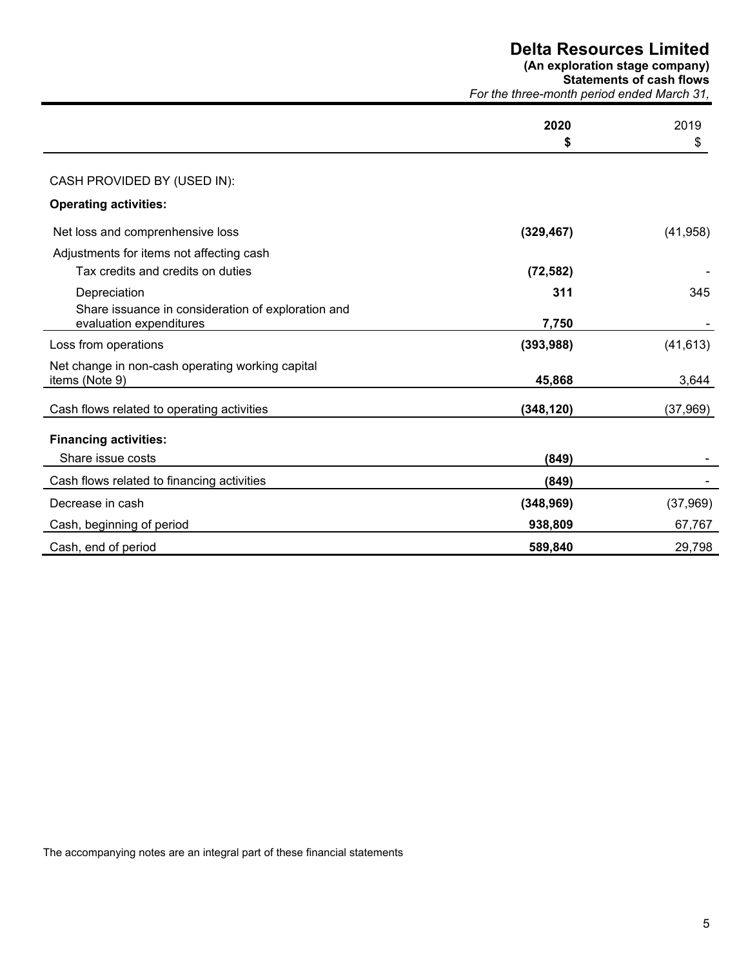|                                                    | <b>Delta Resources Limited</b><br>(An exploration stage company)<br><b>Statements of cash flows</b><br>For the three-month period ended March 31, |           |  |
|----------------------------------------------------|---------------------------------------------------------------------------------------------------------------------------------------------------|-----------|--|
|                                                    | 2020                                                                                                                                              | 2019      |  |
|                                                    | \$                                                                                                                                                | \$        |  |
| CASH PROVIDED BY (USED IN):                        |                                                                                                                                                   |           |  |
| <b>Operating activities:</b>                       |                                                                                                                                                   |           |  |
| Net loss and comprenhensive loss                   | (329, 467)                                                                                                                                        | (41, 958) |  |
| Adjustments for items not affecting cash           |                                                                                                                                                   |           |  |
| Tax credits and credits on duties                  | (72, 582)                                                                                                                                         |           |  |
| Depreciation                                       | 311                                                                                                                                               | 345       |  |
| Share issuance in consideration of exploration and |                                                                                                                                                   |           |  |
| evaluation expenditures                            | 7,750                                                                                                                                             |           |  |
| Loss from operations                               | (393, 988)                                                                                                                                        | (41, 613) |  |
| Net change in non-cash operating working capital   |                                                                                                                                                   |           |  |
| items (Note 9)                                     | 45,868                                                                                                                                            | 3,644     |  |
| Cash flows related to operating activities         | (348, 120)                                                                                                                                        | (37, 969) |  |
| <b>Financing activities:</b>                       |                                                                                                                                                   |           |  |
| Share issue costs                                  | (849)                                                                                                                                             |           |  |
| Cash flows related to financing activities         | (849)                                                                                                                                             |           |  |
| Decrease in cash                                   | (348, 969)                                                                                                                                        | (37,969)  |  |
| Cash, beginning of period                          | 938,809                                                                                                                                           | 67,767    |  |
| Cash, end of period                                | 589,840                                                                                                                                           | 29,798    |  |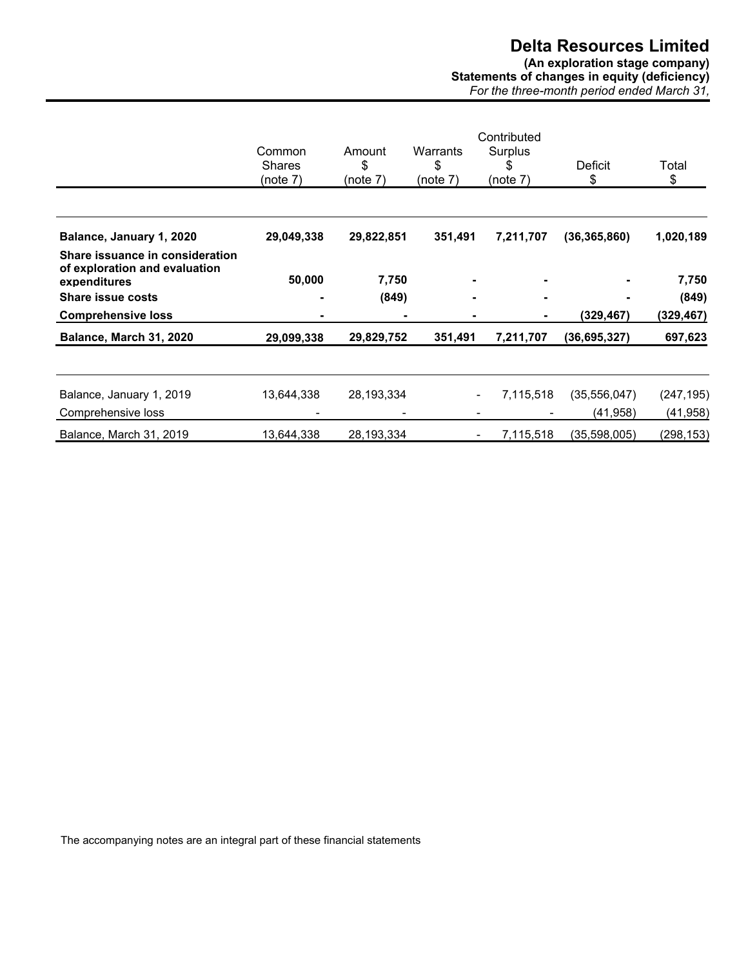## **Delta Resources Limited (An exploration stage company) Statements of changes in equity (deficiency)**

|                                            | . | -- |
|--------------------------------------------|---|----|
| For the three-month period ended March 31, |   |    |

|                                                                                  | Common<br><b>Shares</b><br>(note 7) | Amount<br>\$<br>(note 7) | Warrants<br>\$<br>(note 7) | Contributed<br>Surplus<br>S<br>(note 7) | Deficit<br>\$              | Total<br>\$             |
|----------------------------------------------------------------------------------|-------------------------------------|--------------------------|----------------------------|-----------------------------------------|----------------------------|-------------------------|
| Balance, January 1, 2020                                                         | 29,049,338                          | 29,822,851               | 351,491                    | 7,211,707                               | (36, 365, 860)             | 1,020,189               |
| Share issuance in consideration<br>of exploration and evaluation<br>expenditures | 50,000                              | 7,750                    |                            |                                         |                            | 7,750                   |
| <b>Share issue costs</b>                                                         | ٠                                   | (849)                    |                            | ۰                                       |                            | (849)                   |
| <b>Comprehensive loss</b>                                                        |                                     |                          |                            |                                         | (329, 467)                 | (329, 467)              |
| Balance, March 31, 2020                                                          | 29,099,338                          | 29,829,752               | 351,491                    | 7,211,707                               | (36, 695, 327)             | 697,623                 |
| Balance, January 1, 2019<br>Comprehensive loss                                   | 13,644,338                          | 28,193,334               |                            | 7,115,518<br>۰.<br>۰                    | (35, 556, 047)<br>(41,958) | (247, 195)<br>(41, 958) |
| Balance, March 31, 2019                                                          | 13,644,338                          | 28,193,334               |                            | 7,115,518<br>۰                          | (35,598,005)               | (298, 153)              |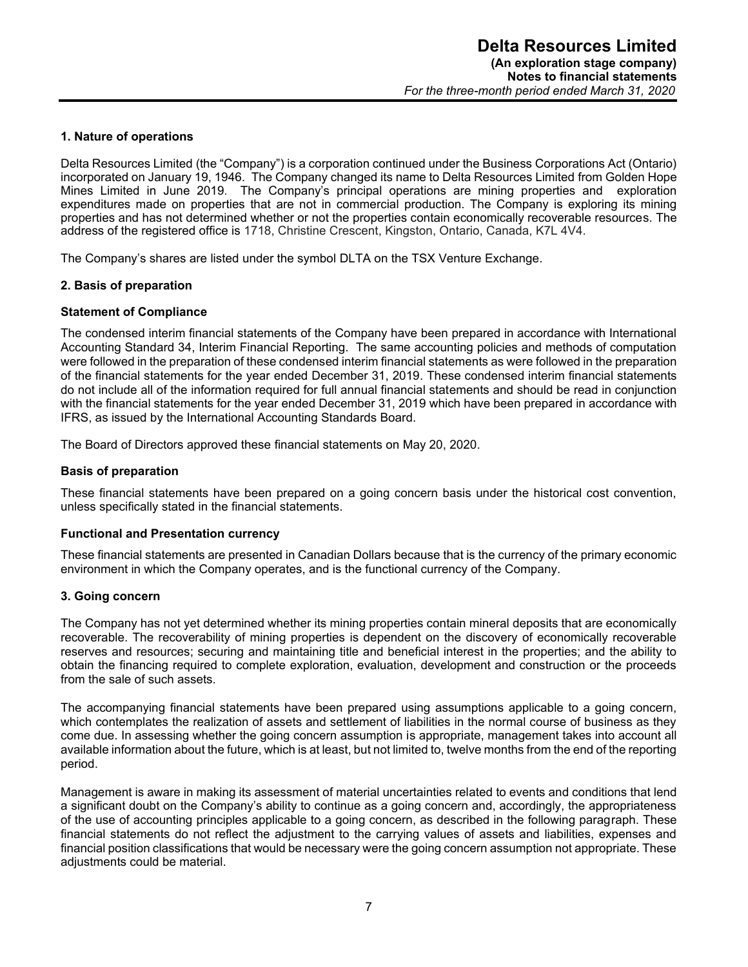#### **1. Nature of operations**

Delta Resources Limited (the "Company") is a corporation continued under the Business Corporations Act (Ontario) incorporated on January 19, 1946. The Company changed its name to Delta Resources Limited from Golden Hope Mines Limited in June 2019. The Company's principal operations are mining properties and exploration expenditures made on properties that are not in commercial production. The Company is exploring its mining properties and has not determined whether or not the properties contain economically recoverable resources. The address of the registered office is 1718, Christine Crescent, Kingston, Ontario, Canada, K7L 4V4.

The Company's shares are listed under the symbol DLTA on the TSX Venture Exchange.

#### **2. Basis of preparation**

#### **Statement of Compliance**

The condensed interim financial statements of the Company have been prepared in accordance with International Accounting Standard 34, Interim Financial Reporting. The same accounting policies and methods of computation were followed in the preparation of these condensed interim financial statements as were followed in the preparation of the financial statements for the year ended December 31, 2019. These condensed interim financial statements do not include all of the information required for full annual financial statements and should be read in conjunction with the financial statements for the year ended December 31, 2019 which have been prepared in accordance with IFRS, as issued by the International Accounting Standards Board.

The Board of Directors approved these financial statements on May 20, 2020.

#### **Basis of preparation**

These financial statements have been prepared on a going concern basis under the historical cost convention, unless specifically stated in the financial statements.

#### **Functional and Presentation currency**

These financial statements are presented in Canadian Dollars because that is the currency of the primary economic environment in which the Company operates, and is the functional currency of the Company.

#### **3. Going concern**

The Company has not yet determined whether its mining properties contain mineral deposits that are economically recoverable. The recoverability of mining properties is dependent on the discovery of economically recoverable reserves and resources; securing and maintaining title and beneficial interest in the properties; and the ability to obtain the financing required to complete exploration, evaluation, development and construction or the proceeds from the sale of such assets.

The accompanying financial statements have been prepared using assumptions applicable to a going concern, which contemplates the realization of assets and settlement of liabilities in the normal course of business as they come due. In assessing whether the going concern assumption is appropriate, management takes into account all available information about the future, which is at least, but not limited to, twelve months from the end of the reporting period.

Management is aware in making its assessment of material uncertainties related to events and conditions that lend a significant doubt on the Company's ability to continue as a going concern and, accordingly, the appropriateness of the use of accounting principles applicable to a going concern, as described in the following paragraph. These financial statements do not reflect the adjustment to the carrying values of assets and liabilities, expenses and financial position classifications that would be necessary were the going concern assumption not appropriate. These adjustments could be material.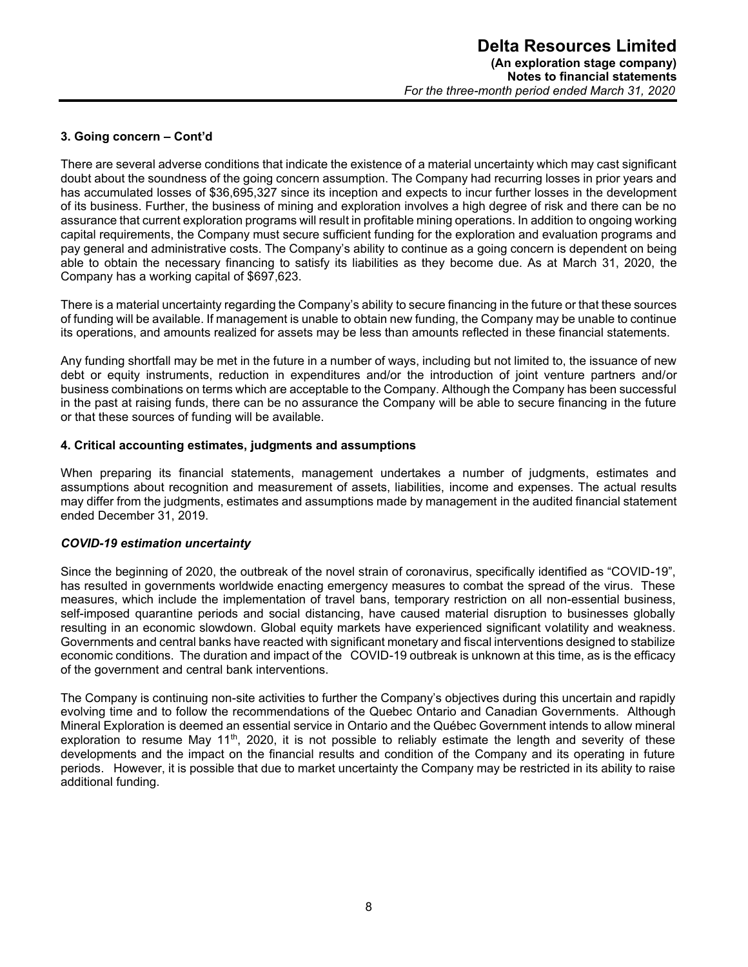#### **3. Going concern – Cont'd**

There are several adverse conditions that indicate the existence of a material uncertainty which may cast significant doubt about the soundness of the going concern assumption. The Company had recurring losses in prior years and has accumulated losses of \$36,695,327 since its inception and expects to incur further losses in the development of its business. Further, the business of mining and exploration involves a high degree of risk and there can be no assurance that current exploration programs will result in profitable mining operations. In addition to ongoing working capital requirements, the Company must secure sufficient funding for the exploration and evaluation programs and pay general and administrative costs. The Company's ability to continue as a going concern is dependent on being able to obtain the necessary financing to satisfy its liabilities as they become due. As at March 31, 2020, the Company has a working capital of \$697,623.

There is a material uncertainty regarding the Company's ability to secure financing in the future or that these sources of funding will be available. If management is unable to obtain new funding, the Company may be unable to continue its operations, and amounts realized for assets may be less than amounts reflected in these financial statements.

Any funding shortfall may be met in the future in a number of ways, including but not limited to, the issuance of new debt or equity instruments, reduction in expenditures and/or the introduction of joint venture partners and/or business combinations on terms which are acceptable to the Company. Although the Company has been successful in the past at raising funds, there can be no assurance the Company will be able to secure financing in the future or that these sources of funding will be available.

#### **4. Critical accounting estimates, judgments and assumptions**

When preparing its financial statements, management undertakes a number of judgments, estimates and assumptions about recognition and measurement of assets, liabilities, income and expenses. The actual results may differ from the judgments, estimates and assumptions made by management in the audited financial statement ended December 31, 2019.

#### *COVID-19 estimation uncertainty*

Since the beginning of 2020, the outbreak of the novel strain of coronavirus, specifically identified as "COVID-19", has resulted in governments worldwide enacting emergency measures to combat the spread of the virus. These measures, which include the implementation of travel bans, temporary restriction on all non-essential business, self-imposed quarantine periods and social distancing, have caused material disruption to businesses globally resulting in an economic slowdown. Global equity markets have experienced significant volatility and weakness. Governments and central banks have reacted with significant monetary and fiscal interventions designed to stabilize economic conditions. The duration and impact of the COVID-19 outbreak is unknown at this time, as is the efficacy of the government and central bank interventions.

The Company is continuing non-site activities to further the Company's objectives during this uncertain and rapidly evolving time and to follow the recommendations of the Quebec Ontario and Canadian Governments. Although Mineral Exploration is deemed an essential service in Ontario and the Québec Government intends to allow mineral exploration to resume May 11<sup>th</sup>, 2020, it is not possible to reliably estimate the length and severity of these developments and the impact on the financial results and condition of the Company and its operating in future periods. However, it is possible that due to market uncertainty the Company may be restricted in its ability to raise additional funding.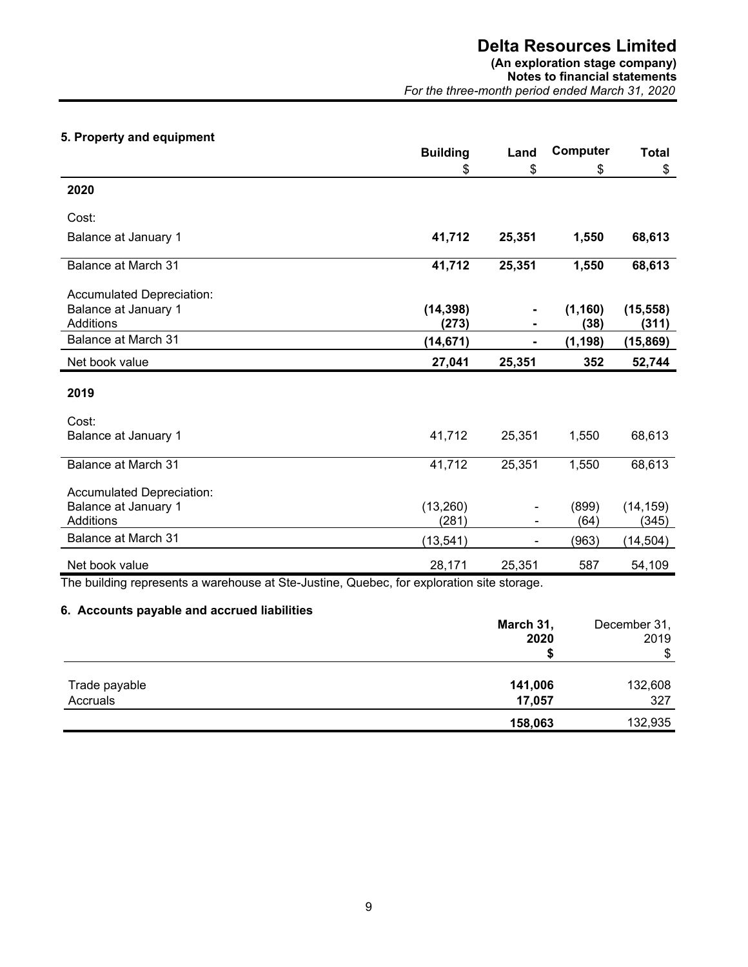## **Delta Resources Limited**

## **(An exploration stage company)**

**Notes to financial statements** *For the three-month period ended March 31, 2020*

## **5. Property and equipment**

|                             | <b>Building</b> | Land   | Computer | <b>Total</b> |
|-----------------------------|-----------------|--------|----------|--------------|
|                             | \$              | \$     | \$       | \$           |
| 2020                        |                 |        |          |              |
| Cost:                       |                 |        |          |              |
| <b>Balance at January 1</b> | 41,712          | 25,351 | 1,550    | 68,613       |
| Balance at March 31         | 41,712          | 25,351 | 1,550    | 68,613       |
| Accumulated Depreciation:   |                 |        |          |              |
| Balance at January 1        | (14, 398)       |        | (1, 160) | (15, 558)    |
| Additions                   | (273)           |        | (38)     | (311)        |
| <b>Balance at March 31</b>  | (14, 671)       | ۰      | (1, 198) | (15, 869)    |
| Net book value              | 27,041          | 25,351 | 352      | 52,744       |
| 2019                        |                 |        |          |              |
| Cost:                       |                 |        |          |              |
| Balance at January 1        | 41,712          | 25,351 | 1,550    | 68,613       |
| <b>Balance at March 31</b>  | 41,712          | 25,351 | 1,550    | 68,613       |
| Accumulated Depreciation:   |                 |        |          |              |
| <b>Balance at January 1</b> | (13,260)        |        | (899)    | (14, 159)    |
| Additions                   | (281)           |        | (64)     | (345)        |
| Balance at March 31         | (13, 541)       |        | (963)    | (14, 504)    |
| Net book value              | 28,171          | 25,351 | 587      | 54,109       |

The building represents a warehouse at Ste-Justine, Quebec, for exploration site storage.

## **6. Accounts payable and accrued liabilities**

|               | March 31,<br>2020 | December 31,<br>2019 |
|---------------|-------------------|----------------------|
|               |                   | \$                   |
| Trade payable | 141,006           | 132,608              |
| Accruals      | 17,057            | 327                  |
|               | 158,063           | 132,935              |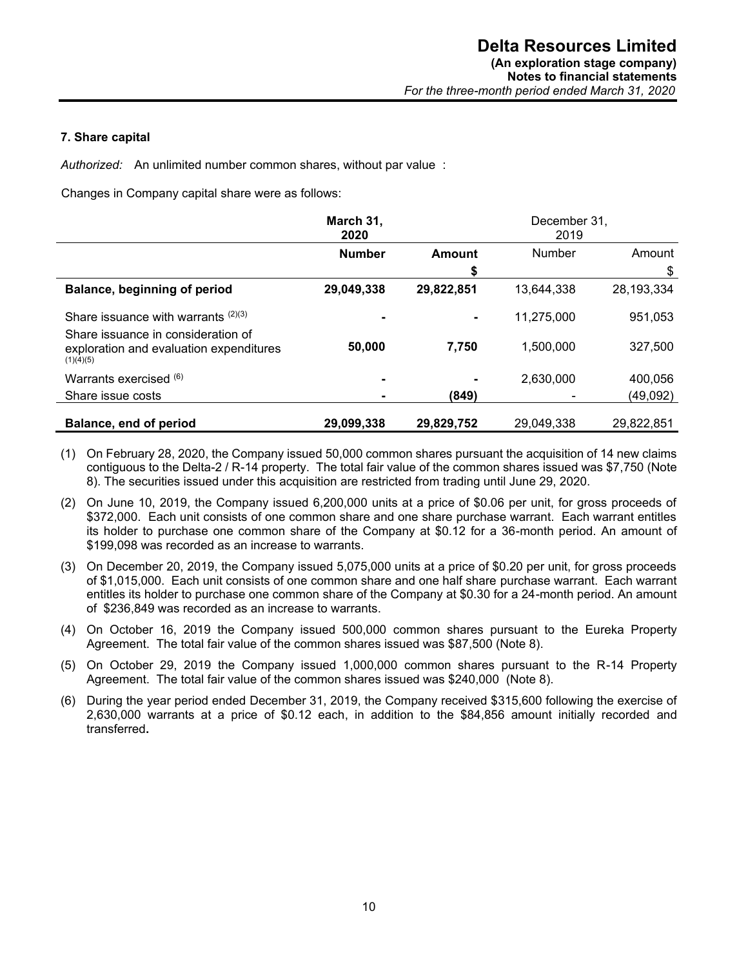#### **7. Share capital**

*Authorized:* An unlimited number common shares, without par value :

Changes in Company capital share were as follows:

|                                                                                            | March 31,<br>2020 |            | December 31.<br>2019 |            |
|--------------------------------------------------------------------------------------------|-------------------|------------|----------------------|------------|
|                                                                                            | <b>Number</b>     | Amount     | Number               | Amount     |
|                                                                                            |                   | \$         |                      | \$         |
| Balance, beginning of period                                                               | 29,049,338        | 29,822,851 | 13,644,338           | 28,193,334 |
| Share issuance with warrants $(2)(3)$                                                      |                   |            | 11,275,000           | 951,053    |
| Share issuance in consideration of<br>exploration and evaluation expenditures<br>(1)(4)(5) | 50,000            | 7,750      | 1,500,000            | 327,500    |
| Warrants exercised $(6)$                                                                   |                   |            | 2,630,000            | 400,056    |
| Share issue costs                                                                          |                   | (849)      |                      | (49,092)   |
| Balance, end of period                                                                     | 29,099,338        | 29,829,752 | 29.049.338           | 29,822,851 |

- (1) On February 28, 2020, the Company issued 50,000 common shares pursuant the acquisition of 14 new claims contiguous to the Delta-2 / R-14 property. The total fair value of the common shares issued was \$7,750 (Note 8). The securities issued under this acquisition are restricted from trading until June 29, 2020.
- (2) On June 10, 2019, the Company issued 6,200,000 units at a price of \$0.06 per unit, for gross proceeds of \$372,000. Each unit consists of one common share and one share purchase warrant. Each warrant entitles its holder to purchase one common share of the Company at \$0.12 for a 36-month period. An amount of \$199,098 was recorded as an increase to warrants.
- (3) On December 20, 2019, the Company issued 5,075,000 units at a price of \$0.20 per unit, for gross proceeds of \$1,015,000. Each unit consists of one common share and one half share purchase warrant. Each warrant entitles its holder to purchase one common share of the Company at \$0.30 for a 24-month period. An amount of \$236,849 was recorded as an increase to warrants.
- (4) On October 16, 2019 the Company issued 500,000 common shares pursuant to the Eureka Property Agreement. The total fair value of the common shares issued was \$87,500 (Note 8).
- (5) On October 29, 2019 the Company issued 1,000,000 common shares pursuant to the R-14 Property Agreement. The total fair value of the common shares issued was \$240,000 (Note 8).
- (6) During the year period ended December 31, 2019, the Company received \$315,600 following the exercise of 2,630,000 warrants at a price of \$0.12 each, in addition to the \$84,856 amount initially recorded and transferred**.**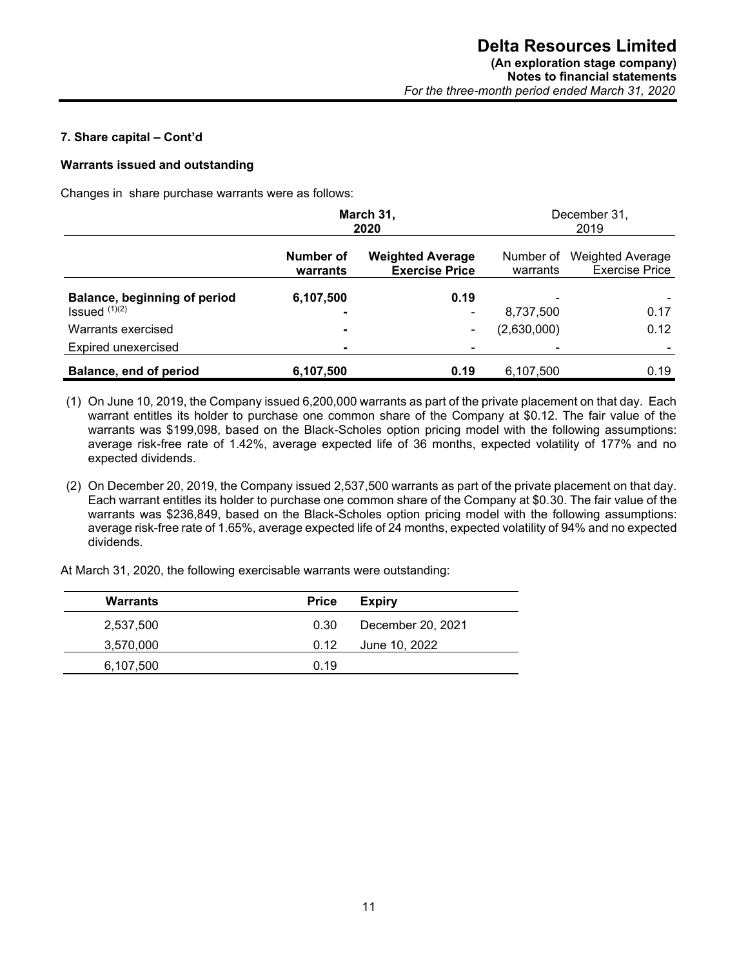## **7. Share capital – Cont'd**

## **Warrants issued and outstanding**

Changes in share purchase warrants were as follows:

|                                                 |                       | March 31,<br>2020                                | December 31,<br>2019     |                                           |  |  |
|-------------------------------------------------|-----------------------|--------------------------------------------------|--------------------------|-------------------------------------------|--|--|
|                                                 | Number of<br>warrants | <b>Weighted Average</b><br><b>Exercise Price</b> | Number of<br>warrants    | Weighted Average<br><b>Exercise Price</b> |  |  |
| Balance, beginning of period<br>Issued $(1)(2)$ | 6,107,500<br>۰        | 0.19<br>۰                                        | 8,737,500                | 0.17                                      |  |  |
| Warrants exercised                              | $\blacksquare$        | ۰                                                | (2,630,000)              | 0.12                                      |  |  |
| Expired unexercised                             | $\blacksquare$        |                                                  | $\overline{\phantom{0}}$ |                                           |  |  |
| Balance, end of period                          | 6,107,500             | 0.19                                             | 6,107,500                | 0.19                                      |  |  |

(1) On June 10, 2019, the Company issued 6,200,000 warrants as part of the private placement on that day. Each warrant entitles its holder to purchase one common share of the Company at \$0.12. The fair value of the warrants was \$199,098, based on the Black-Scholes option pricing model with the following assumptions: average risk-free rate of 1.42%, average expected life of 36 months, expected volatility of 177% and no expected dividends.

(2) On December 20, 2019, the Company issued 2,537,500 warrants as part of the private placement on that day. Each warrant entitles its holder to purchase one common share of the Company at \$0.30. The fair value of the warrants was \$236,849, based on the Black-Scholes option pricing model with the following assumptions: average risk-free rate of 1.65%, average expected life of 24 months, expected volatility of 94% and no expected dividends.

At March 31, 2020, the following exercisable warrants were outstanding:

| <b>Warrants</b> | <b>Price</b> | Expiry            |
|-----------------|--------------|-------------------|
| 2,537,500       | 0.30         | December 20, 2021 |
| 3,570,000       | 0.12         | June 10, 2022     |
| 6,107,500       | 0.19         |                   |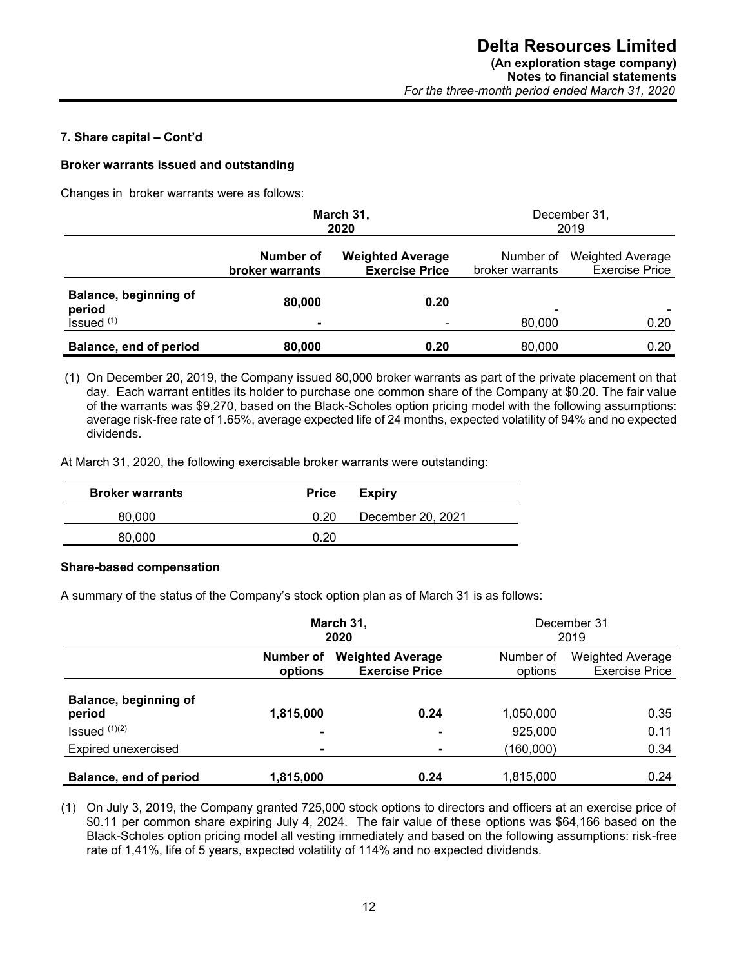### **7. Share capital – Cont'd**

#### **Broker warrants issued and outstanding**

Changes in broker warrants were as follows:

|                                                 | March 31,<br>2020            |                                                  |                              | December 31,<br>2019                             |
|-------------------------------------------------|------------------------------|--------------------------------------------------|------------------------------|--------------------------------------------------|
|                                                 | Number of<br>broker warrants | <b>Weighted Average</b><br><b>Exercise Price</b> | Number of<br>broker warrants | <b>Weighted Average</b><br><b>Exercise Price</b> |
| Balance, beginning of<br>period<br>Issued $(1)$ | 80,000<br>۰                  | 0.20                                             | ۰<br>80,000                  | 0.20                                             |
| Balance, end of period                          | 80,000                       | 0.20                                             | 80,000                       | 0.20                                             |

(1) On December 20, 2019, the Company issued 80,000 broker warrants as part of the private placement on that day. Each warrant entitles its holder to purchase one common share of the Company at \$0.20. The fair value of the warrants was \$9,270, based on the Black-Scholes option pricing model with the following assumptions: average risk-free rate of 1.65%, average expected life of 24 months, expected volatility of 94% and no expected dividends.

At March 31, 2020, the following exercisable broker warrants were outstanding:

| <b>Broker warrants</b> | <b>Price</b> | Expiry            |
|------------------------|--------------|-------------------|
| 80,000                 | 0.20         | December 20, 2021 |
| 80,000                 | በ 2በ         |                   |

#### **Share-based compensation**

A summary of the status of the Company's stock option plan as of March 31 is as follows:

|                                 | March 31,<br>2020    |                                                  |                      | December 31<br>2019                              |
|---------------------------------|----------------------|--------------------------------------------------|----------------------|--------------------------------------------------|
|                                 | Number of<br>options | <b>Weighted Average</b><br><b>Exercise Price</b> | Number of<br>options | <b>Weighted Average</b><br><b>Exercise Price</b> |
| Balance, beginning of<br>period | 1,815,000            | 0.24                                             | 1,050,000            | 0.35                                             |
| Issued $(1)(2)$                 | $\blacksquare$       |                                                  | 925,000              | 0.11                                             |
| <b>Expired unexercised</b>      | -                    |                                                  | (160,000)            | 0.34                                             |
| Balance, end of period          | 1,815,000            | 0.24                                             | 1,815,000            | 0.24                                             |

(1) On July 3, 2019, the Company granted 725,000 stock options to directors and officers at an exercise price of \$0.11 per common share expiring July 4, 2024. The fair value of these options was \$64,166 based on the Black-Scholes option pricing model all vesting immediately and based on the following assumptions: risk-free rate of 1,41%, life of 5 years, expected volatility of 114% and no expected dividends.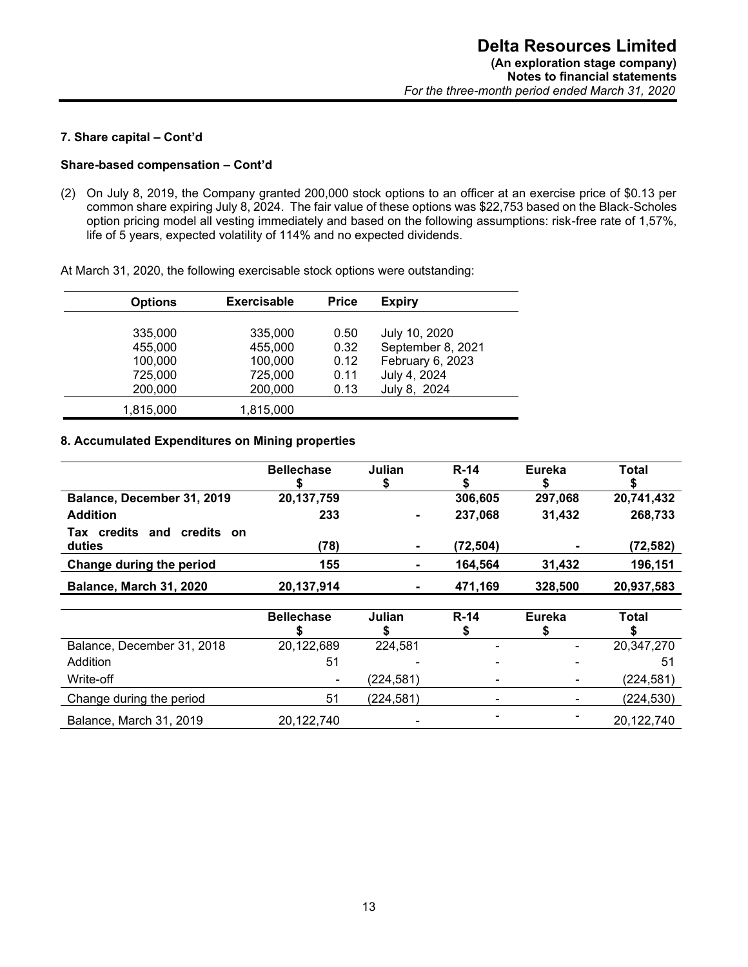## **7. Share capital – Cont'd**

### **Share-based compensation – Cont'd**

(2) On July 8, 2019, the Company granted 200,000 stock options to an officer at an exercise price of \$0.13 per common share expiring July 8, 2024. The fair value of these options was \$22,753 based on the Black-Scholes option pricing model all vesting immediately and based on the following assumptions: risk-free rate of 1,57%, life of 5 years, expected volatility of 114% and no expected dividends.

At March 31, 2020, the following exercisable stock options were outstanding:

| <b>Options</b> | <b>Exercisable</b> | <b>Price</b> | <b>Expiry</b>     |
|----------------|--------------------|--------------|-------------------|
|                |                    |              |                   |
| 335,000        | 335,000            | 0.50         | July 10, 2020     |
| 455,000        | 455,000            | 0.32         | September 8, 2021 |
| 100,000        | 100,000            | 0.12         | February 6, 2023  |
| 725,000        | 725,000            | 0.11         | July 4, 2024      |
| 200,000        | 200,000            | 0.13         | July 8, 2024      |
| 1,815,000      | 1,815,000          |              |                   |

#### **8. Accumulated Expenditures on Mining properties**

|                                      | <b>Bellechase</b> | Julian | $R-14$   | Eureka  | Total      |
|--------------------------------------|-------------------|--------|----------|---------|------------|
| Balance, December 31, 2019           | 20,137,759        |        | 306,605  | 297,068 | 20,741,432 |
| <b>Addition</b>                      | 233               |        | 237,068  | 31,432  | 268,733    |
| Tax credits and credits on<br>duties | (78)              |        | (72,504) | ۰       | (72,582)   |
| Change during the period             | 155               |        | 164,564  | 31,432  | 196,151    |
| Balance, March 31, 2020              | 20,137,914        |        | 471,169  | 328,500 | 20,937,583 |

|                            | <b>Bellechase</b> | Julian     | $R-14$                   | Eureka         | Total      |
|----------------------------|-------------------|------------|--------------------------|----------------|------------|
| Balance, December 31, 2018 | 20,122,689        | 224,581    |                          |                | 20,347,270 |
| <b>Addition</b>            | 51                |            | $\blacksquare$           |                | 51         |
| Write-off                  |                   | (224,581)  | $\overline{\phantom{0}}$ | ۰              | (224, 581) |
| Change during the period   | 51                | (224, 581) | $\blacksquare$           | $\blacksquare$ | (224, 530) |
| Balance, March 31, 2019    | 20,122,740        |            |                          |                | 20,122,740 |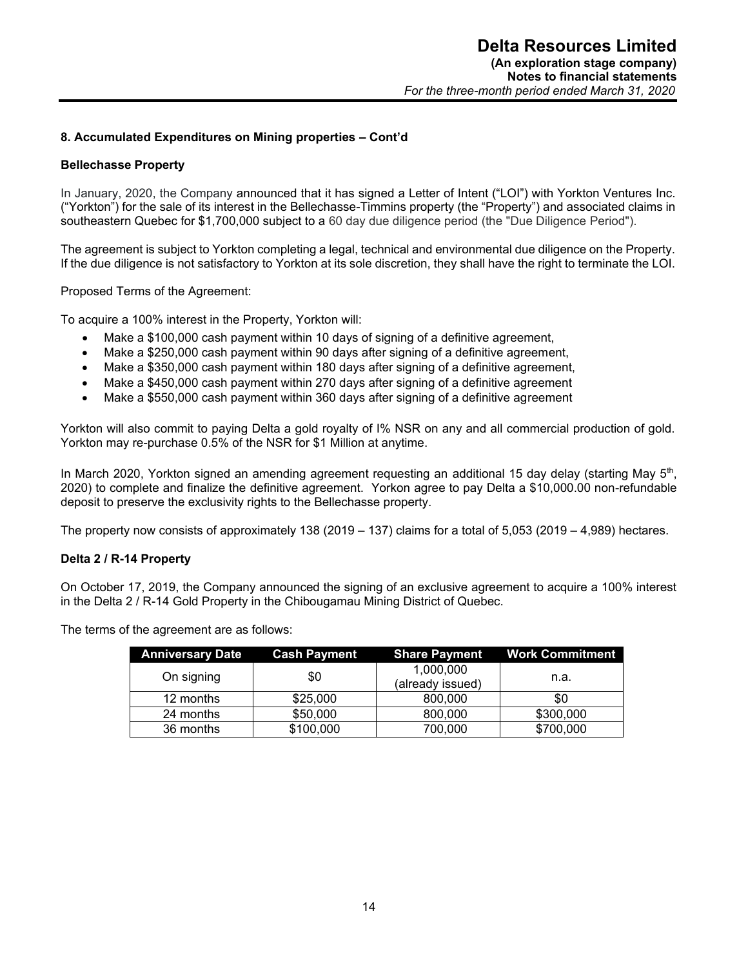## **8. Accumulated Expenditures on Mining properties – Cont'd**

## **Bellechasse Property**

In January, 2020, the Company announced that it has signed a Letter of Intent ("LOI") with Yorkton Ventures Inc. ("Yorkton") for the sale of its interest in the Bellechasse-Timmins property (the "Property") and associated claims in southeastern Quebec for \$1,700,000 subject to a 60 day due diligence period (the "Due Diligence Period").

The agreement is subject to Yorkton completing a legal, technical and environmental due diligence on the Property. If the due diligence is not satisfactory to Yorkton at its sole discretion, they shall have the right to terminate the LOI.

Proposed Terms of the Agreement:

To acquire a 100% interest in the Property, Yorkton will:

- Make a \$100,000 cash payment within 10 days of signing of a definitive agreement,
- Make a \$250,000 cash payment within 90 days after signing of a definitive agreement,
- Make a \$350,000 cash payment within 180 days after signing of a definitive agreement,
- Make a \$450,000 cash payment within 270 days after signing of a definitive agreement
- Make a \$550,000 cash payment within 360 days after signing of a definitive agreement

Yorkton will also commit to paying Delta a gold royalty of I% NSR on any and all commercial production of gold. Yorkton may re-purchase 0.5% of the NSR for \$1 Million at anytime.

In March 2020, Yorkton signed an amending agreement requesting an additional 15 day delay (starting May 5<sup>th</sup>, 2020) to complete and finalize the definitive agreement. Yorkon agree to pay Delta a \$10,000.00 non-refundable deposit to preserve the exclusivity rights to the Bellechasse property.

The property now consists of approximately 138 (2019 – 137) claims for a total of 5,053 (2019 – 4,989) hectares.

#### **Delta 2 / R-14 Property**

On October 17, 2019, the Company announced the signing of an exclusive agreement to acquire a 100% interest in the Delta 2 / R-14 Gold Property in the Chibougamau Mining District of Quebec.

The terms of the agreement are as follows:

| <b>Anniversary Date</b> | <b>Cash Payment</b> |                  | <b>Share Payment Work Commitment</b> |
|-------------------------|---------------------|------------------|--------------------------------------|
| On signing              | \$0                 | 1,000,000        | n.a.                                 |
|                         |                     | (already issued) |                                      |
| 12 months               | \$25,000            | 800,000          | \$0                                  |
| 24 months               | \$50,000            | 800,000          | \$300,000                            |
| 36 months               | \$100,000           | 700,000          | \$700,000                            |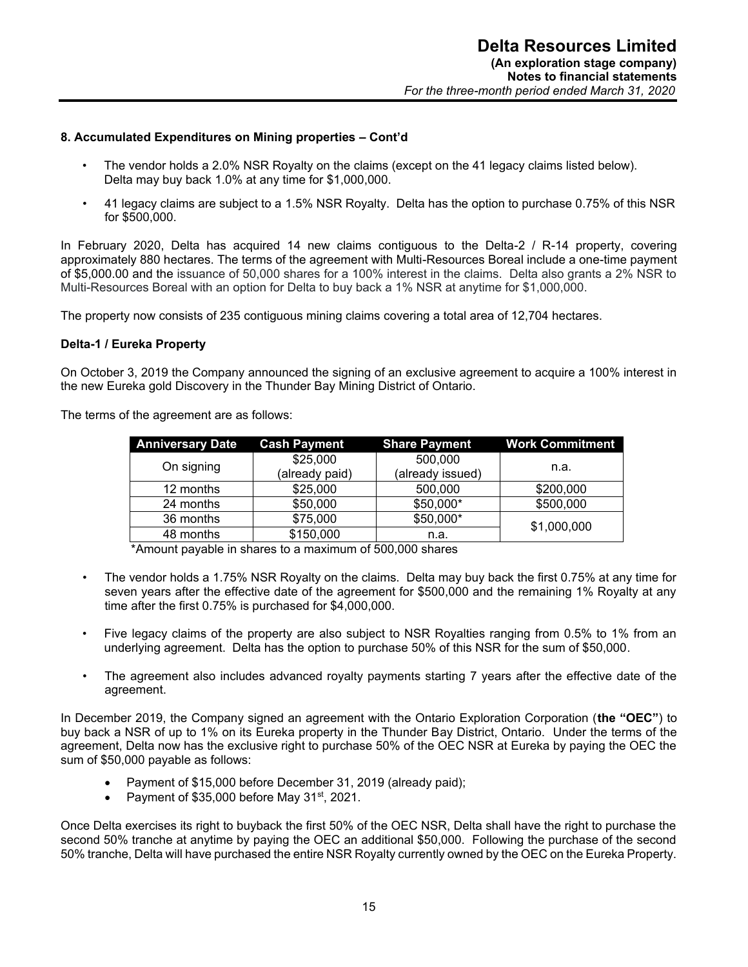#### **8. Accumulated Expenditures on Mining properties – Cont'd**

- The vendor holds a 2.0% NSR Royalty on the claims (except on the 41 legacy claims listed below). Delta may buy back 1.0% at any time for \$1,000,000.
- 41 legacy claims are subject to a 1.5% NSR Royalty. Delta has the option to purchase 0.75% of this NSR for \$500,000.

In February 2020, Delta has acquired 14 new claims contiguous to the Delta-2 / R-14 property, covering approximately 880 hectares. The terms of the agreement with Multi-Resources Boreal include a one-time payment of \$5,000.00 and the issuance of 50,000 shares for a 100% interest in the claims. Delta also grants a 2% NSR to Multi-Resources Boreal with an option for Delta to buy back a 1% NSR at anytime for \$1,000,000.

The property now consists of 235 contiguous mining claims covering a total area of 12,704 hectares.

#### **Delta-1 / Eureka Property**

On October 3, 2019 the Company announced the signing of an exclusive agreement to acquire a 100% interest in the new Eureka gold Discovery in the Thunder Bay Mining District of Ontario.

The terms of the agreement are as follows:

| <b>Anniversary Date</b> | <b>Cash Payment</b> | <b>Share Payment</b> | <b>Work Commitment</b> |
|-------------------------|---------------------|----------------------|------------------------|
| On signing              | \$25,000            | 500,000              |                        |
|                         | (already paid)      | (already issued)     | n.a.                   |
| 12 months               | \$25,000            | 500,000              | \$200,000              |
| 24 months               | \$50,000            | \$50,000*            | \$500,000              |
| 36 months               | \$75,000            | \$50,000*            | \$1,000,000            |
| 48 months               | \$150,000           | n.a.                 |                        |
| .<br>.                  |                     |                      |                        |

\*Amount payable in shares to a maximum of 500,000 shares

- The vendor holds a 1.75% NSR Royalty on the claims. Delta may buy back the first 0.75% at any time for seven years after the effective date of the agreement for \$500,000 and the remaining 1% Royalty at any time after the first 0.75% is purchased for \$4,000,000.
- Five legacy claims of the property are also subject to NSR Royalties ranging from 0.5% to 1% from an underlying agreement. Delta has the option to purchase 50% of this NSR for the sum of \$50,000.
- The agreement also includes advanced royalty payments starting 7 years after the effective date of the agreement.

In December 2019, the Company signed an agreement with the Ontario Exploration Corporation (**the "OEC"**) to buy back a NSR of up to 1% on its Eureka property in the Thunder Bay District, Ontario. Under the terms of the agreement, Delta now has the exclusive right to purchase 50% of the OEC NSR at Eureka by paying the OEC the sum of \$50,000 payable as follows:

- Payment of \$15,000 before December 31, 2019 (already paid);
- Payment of \$35,000 before May 31<sup>st</sup>, 2021.

Once Delta exercises its right to buyback the first 50% of the OEC NSR, Delta shall have the right to purchase the second 50% tranche at anytime by paying the OEC an additional \$50,000. Following the purchase of the second 50% tranche, Delta will have purchased the entire NSR Royalty currently owned by the OEC on the Eureka Property.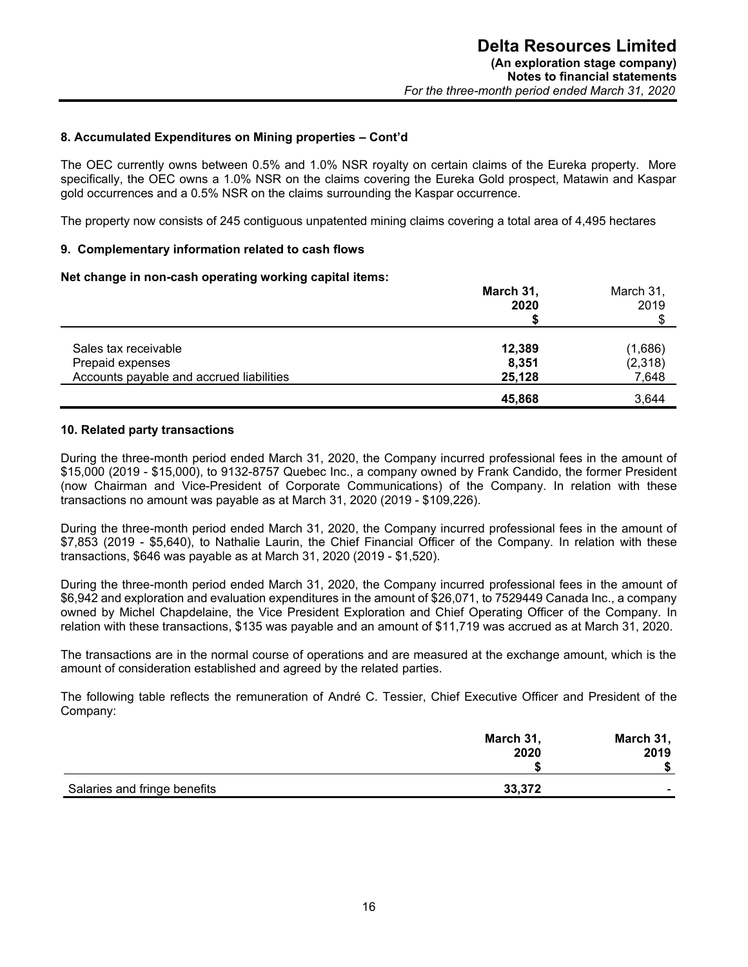#### **8. Accumulated Expenditures on Mining properties – Cont'd**

The OEC currently owns between 0.5% and 1.0% NSR royalty on certain claims of the Eureka property. More specifically, the OEC owns a 1.0% NSR on the claims covering the Eureka Gold prospect, Matawin and Kaspar gold occurrences and a 0.5% NSR on the claims surrounding the Kaspar occurrence.

The property now consists of 245 contiguous unpatented mining claims covering a total area of 4,495 hectares

#### **9. Complementary information related to cash flows**

#### **Net change in non-cash operating working capital items:**

|                                          | March 31,<br>2020 | March 31,<br>2019 |
|------------------------------------------|-------------------|-------------------|
| Sales tax receivable                     | 12,389            | (1,686)           |
| Prepaid expenses                         | 8,351             | (2,318)           |
| Accounts payable and accrued liabilities | 25,128            | 7,648             |
|                                          | 45,868            | 3.644             |

#### **10. Related party transactions**

During the three-month period ended March 31, 2020, the Company incurred professional fees in the amount of \$15,000 (2019 - \$15,000), to 9132-8757 Quebec Inc., a company owned by Frank Candido, the former President (now Chairman and Vice-President of Corporate Communications) of the Company. In relation with these transactions no amount was payable as at March 31, 2020 (2019 - \$109,226).

During the three-month period ended March 31, 2020, the Company incurred professional fees in the amount of \$7,853 (2019 - \$5,640), to Nathalie Laurin, the Chief Financial Officer of the Company. In relation with these transactions, \$646 was payable as at March 31, 2020 (2019 - \$1,520).

During the three-month period ended March 31, 2020, the Company incurred professional fees in the amount of \$6,942 and exploration and evaluation expenditures in the amount of \$26,071, to 7529449 Canada Inc., a company owned by Michel Chapdelaine, the Vice President Exploration and Chief Operating Officer of the Company. In relation with these transactions, \$135 was payable and an amount of \$11,719 was accrued as at March 31, 2020.

The transactions are in the normal course of operations and are measured at the exchange amount, which is the amount of consideration established and agreed by the related parties.

The following table reflects the remuneration of André C. Tessier, Chief Executive Officer and President of the Company:

|                              | March 31, | March 31,      |
|------------------------------|-----------|----------------|
|                              | 2020      | 2019           |
|                              |           |                |
| Salaries and fringe benefits | 33,372    | $\blacksquare$ |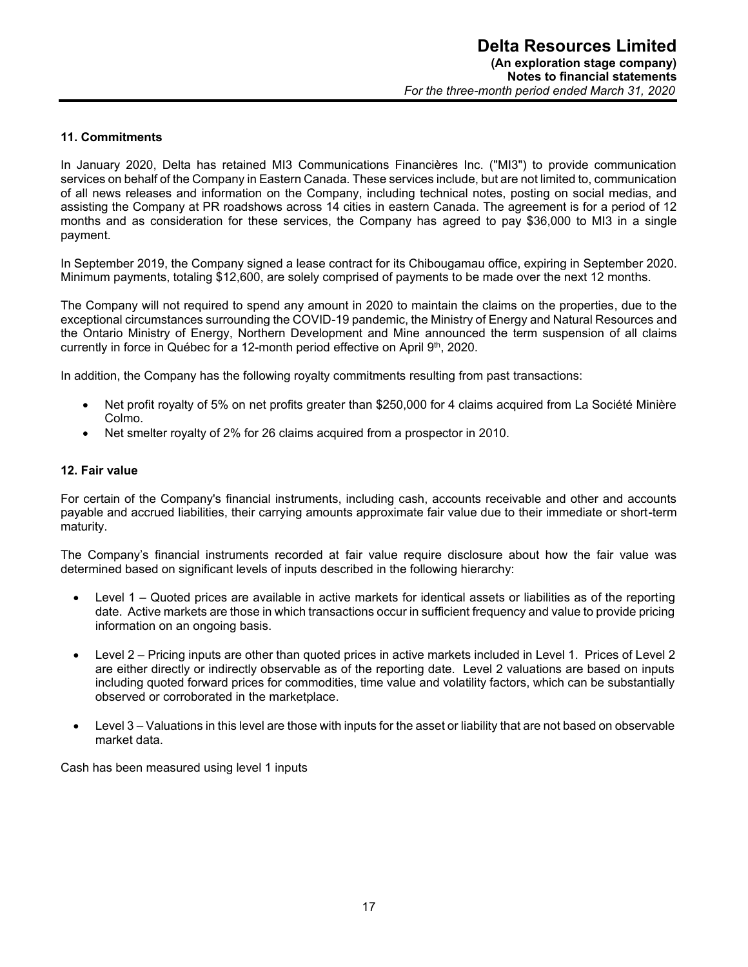#### **11. Commitments**

In January 2020, Delta has retained MI3 Communications Financières Inc. ("MI3") to provide communication services on behalf of the Company in Eastern Canada. These services include, but are not limited to, communication of all news releases and information on the Company, including technical notes, posting on social medias, and assisting the Company at PR roadshows across 14 cities in eastern Canada. The agreement is for a period of 12 months and as consideration for these services, the Company has agreed to pay \$36,000 to MI3 in a single payment.

In September 2019, the Company signed a lease contract for its Chibougamau office, expiring in September 2020. Minimum payments, totaling \$12,600, are solely comprised of payments to be made over the next 12 months.

The Company will not required to spend any amount in 2020 to maintain the claims on the properties, due to the exceptional circumstances surrounding the COVID-19 pandemic, the Ministry of Energy and Natural Resources and the Ontario Ministry of Energy, Northern Development and Mine announced the term suspension of all claims currently in force in Québec for a 12-month period effective on April 9<sup>th</sup>, 2020.

In addition, the Company has the following royalty commitments resulting from past transactions:

- Net profit royalty of 5% on net profits greater than \$250,000 for 4 claims acquired from La Société Minière Colmo.
- Net smelter royalty of 2% for 26 claims acquired from a prospector in 2010.

#### **12. Fair value**

For certain of the Company's financial instruments, including cash, accounts receivable and other and accounts payable and accrued liabilities, their carrying amounts approximate fair value due to their immediate or short-term maturity.

The Company's financial instruments recorded at fair value require disclosure about how the fair value was determined based on significant levels of inputs described in the following hierarchy:

- Level 1 Quoted prices are available in active markets for identical assets or liabilities as of the reporting date. Active markets are those in which transactions occur in sufficient frequency and value to provide pricing information on an ongoing basis.
- Level 2 Pricing inputs are other than quoted prices in active markets included in Level 1. Prices of Level 2 are either directly or indirectly observable as of the reporting date. Level 2 valuations are based on inputs including quoted forward prices for commodities, time value and volatility factors, which can be substantially observed or corroborated in the marketplace.
- Level 3 Valuations in this level are those with inputs for the asset or liability that are not based on observable market data.

Cash has been measured using level 1 inputs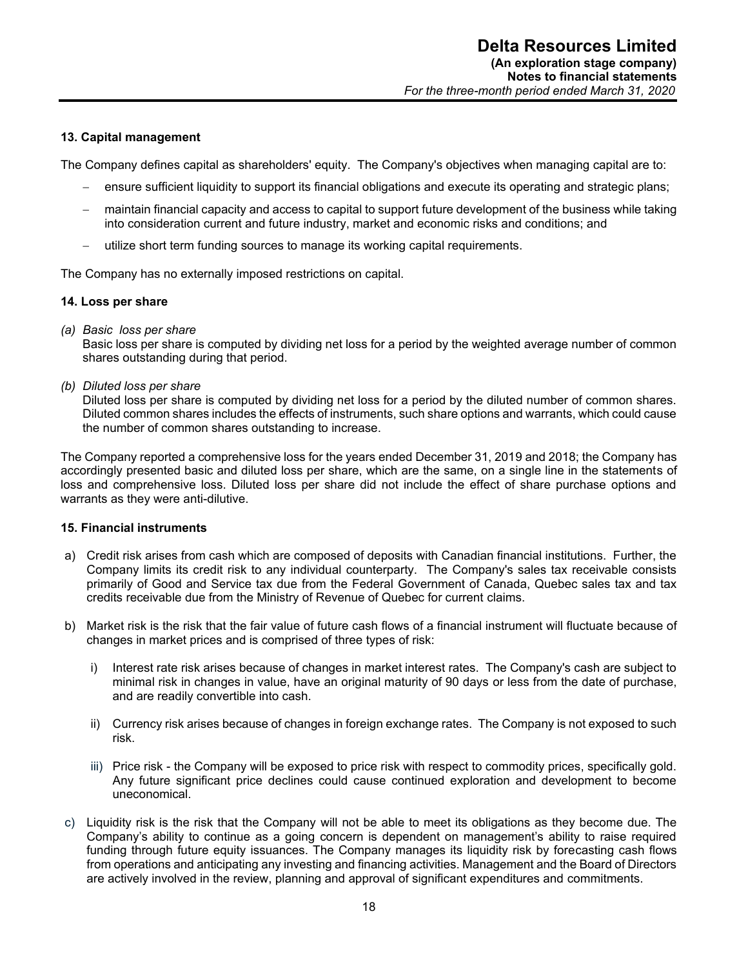### **13. Capital management**

The Company defines capital as shareholders' equity. The Company's objectives when managing capital are to:

- ensure sufficient liquidity to support its financial obligations and execute its operating and strategic plans;
- maintain financial capacity and access to capital to support future development of the business while taking into consideration current and future industry, market and economic risks and conditions; and
- utilize short term funding sources to manage its working capital requirements.

The Company has no externally imposed restrictions on capital.

#### **14. Loss per share**

*(a) Basic loss per share* 

Basic loss per share is computed by dividing net loss for a period by the weighted average number of common shares outstanding during that period.

*(b) Diluted loss per share* 

Diluted loss per share is computed by dividing net loss for a period by the diluted number of common shares. Diluted common shares includes the effects of instruments, such share options and warrants, which could cause the number of common shares outstanding to increase.

The Company reported a comprehensive loss for the years ended December 31, 2019 and 2018; the Company has accordingly presented basic and diluted loss per share, which are the same, on a single line in the statements of loss and comprehensive loss. Diluted loss per share did not include the effect of share purchase options and warrants as they were anti-dilutive.

#### **15. Financial instruments**

- a) Credit risk arises from cash which are composed of deposits with Canadian financial institutions. Further, the Company limits its credit risk to any individual counterparty. The Company's sales tax receivable consists primarily of Good and Service tax due from the Federal Government of Canada, Quebec sales tax and tax credits receivable due from the Ministry of Revenue of Quebec for current claims.
- b) Market risk is the risk that the fair value of future cash flows of a financial instrument will fluctuate because of changes in market prices and is comprised of three types of risk:
	- i) Interest rate risk arises because of changes in market interest rates. The Company's cash are subject to minimal risk in changes in value, have an original maturity of 90 days or less from the date of purchase, and are readily convertible into cash.
	- ii) Currency risk arises because of changes in foreign exchange rates. The Company is not exposed to such risk.
	- iii) Price risk the Company will be exposed to price risk with respect to commodity prices, specifically gold. Any future significant price declines could cause continued exploration and development to become uneconomical.
- c) Liquidity risk is the risk that the Company will not be able to meet its obligations as they become due. The Company's ability to continue as a going concern is dependent on management's ability to raise required funding through future equity issuances. The Company manages its liquidity risk by forecasting cash flows from operations and anticipating any investing and financing activities. Management and the Board of Directors are actively involved in the review, planning and approval of significant expenditures and commitments.